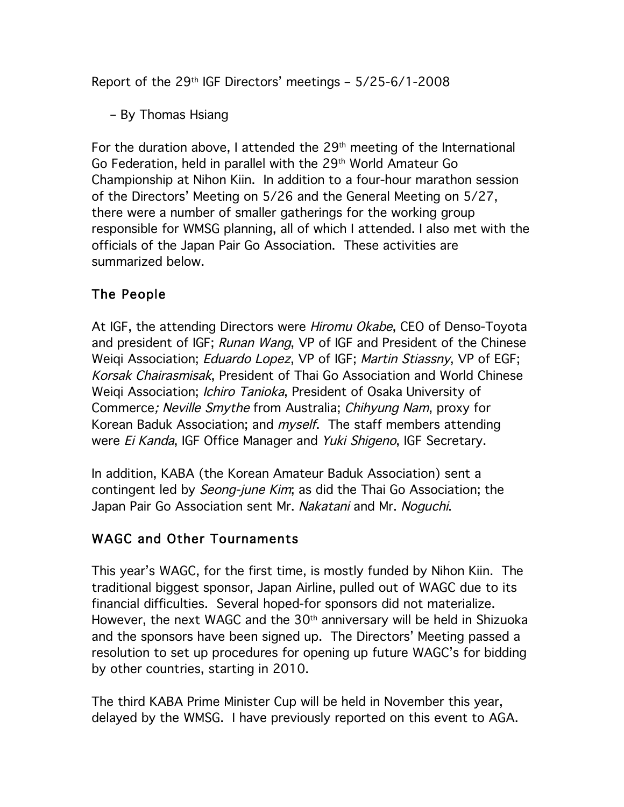Report of the  $29<sup>th</sup>$  IGF Directors' meetings –  $5/25-6/1-2008$ 

– By Thomas Hsiang

For the duration above, I attended the  $29<sup>th</sup>$  meeting of the International Go Federation, held in parallel with the 29<sup>th</sup> World Amateur Go Championship at Nihon Kiin. In addition to a four-hour marathon session of the Directors' Meeting on 5/26 and the General Meeting on 5/27, there were a number of smaller gatherings for the working group responsible for WMSG planning, all of which I attended. I also met with the officials of the Japan Pair Go Association. These activities are summarized below.

## The People

At IGF, the attending Directors were Hiromu Okabe, CEO of Denso-Toyota and president of IGF; Runan Wang, VP of IGF and President of the Chinese Weigi Association; *Eduardo Lopez*, VP of IGF; *Martin Stiassny*, VP of EGF; Korsak Chairasmisak, President of Thai Go Association and World Chinese Weigi Association; *Ichiro Tanioka*, President of Osaka University of Commerce; Neville Smythe from Australia; Chihyung Nam, proxy for Korean Baduk Association; and *myself*. The staff members attending were *Ei Kanda*, IGF Office Manager and *Yuki Shigeno*, IGF Secretary.

In addition, KABA (the Korean Amateur Baduk Association) sent a contingent led by *Seong-june Kim*; as did the Thai Go Association; the Japan Pair Go Association sent Mr. Nakatani and Mr. Noguchi.

# WAGC and Other Tournaments

This year's WAGC, for the first time, is mostly funded by Nihon Kiin. The traditional biggest sponsor, Japan Airline, pulled out of WAGC due to its financial difficulties. Several hoped-for sponsors did not materialize. However, the next WAGC and the 30<sup>th</sup> anniversary will be held in Shizuoka and the sponsors have been signed up. The Directors' Meeting passed a resolution to set up procedures for opening up future WAGC's for bidding by other countries, starting in 2010.

The third KABA Prime Minister Cup will be held in November this year, delayed by the WMSG. I have previously reported on this event to AGA.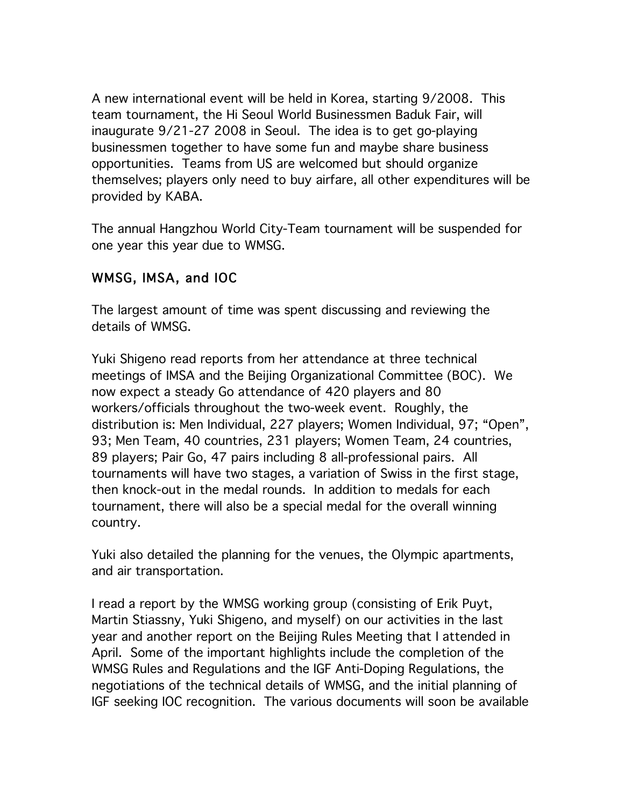A new international event will be held in Korea, starting 9/2008. This team tournament, the Hi Seoul World Businessmen Baduk Fair, will inaugurate 9/21-27 2008 in Seoul. The idea is to get go-playing businessmen together to have some fun and maybe share business opportunities. Teams from US are welcomed but should organize themselves; players only need to buy airfare, all other expenditures will be provided by KABA.

The annual Hangzhou World City-Team tournament will be suspended for one year this year due to WMSG.

## WMSG, IMSA, and IOC

The largest amount of time was spent discussing and reviewing the details of WMSG.

Yuki Shigeno read reports from her attendance at three technical meetings of IMSA and the Beijing Organizational Committee (BOC). We now expect a steady Go attendance of 420 players and 80 workers/officials throughout the two-week event. Roughly, the distribution is: Men Individual, 227 players; Women Individual, 97; "Open", 93; Men Team, 40 countries, 231 players; Women Team, 24 countries, 89 players; Pair Go, 47 pairs including 8 all-professional pairs. All tournaments will have two stages, a variation of Swiss in the first stage, then knock-out in the medal rounds. In addition to medals for each tournament, there will also be a special medal for the overall winning country.

Yuki also detailed the planning for the venues, the Olympic apartments, and air transportation.

I read a report by the WMSG working group (consisting of Erik Puyt, Martin Stiassny, Yuki Shigeno, and myself) on our activities in the last year and another report on the Beijing Rules Meeting that I attended in April. Some of the important highlights include the completion of the WMSG Rules and Regulations and the IGF Anti-Doping Regulations, the negotiations of the technical details of WMSG, and the initial planning of IGF seeking IOC recognition. The various documents will soon be available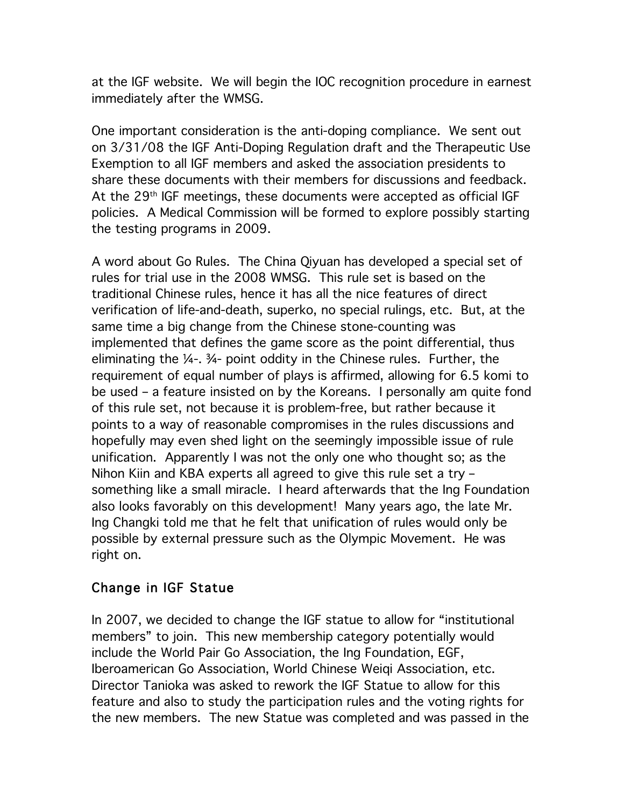at the IGF website. We will begin the IOC recognition procedure in earnest immediately after the WMSG.

One important consideration is the anti-doping compliance. We sent out on 3/31/08 the IGF Anti-Doping Regulation draft and the Therapeutic Use Exemption to all IGF members and asked the association presidents to share these documents with their members for discussions and feedback. At the 29th IGF meetings, these documents were accepted as official IGF policies. A Medical Commission will be formed to explore possibly starting the testing programs in 2009.

A word about Go Rules. The China Qiyuan has developed a special set of rules for trial use in the 2008 WMSG. This rule set is based on the traditional Chinese rules, hence it has all the nice features of direct verification of life-and-death, superko, no special rulings, etc. But, at the same time a big change from the Chinese stone-counting was implemented that defines the game score as the point differential, thus eliminating the ¼-. ¾- point oddity in the Chinese rules. Further, the requirement of equal number of plays is affirmed, allowing for 6.5 komi to be used – a feature insisted on by the Koreans. I personally am quite fond of this rule set, not because it is problem-free, but rather because it points to a way of reasonable compromises in the rules discussions and hopefully may even shed light on the seemingly impossible issue of rule unification. Apparently I was not the only one who thought so; as the Nihon Kiin and KBA experts all agreed to give this rule set a try – something like a small miracle. I heard afterwards that the Ing Foundation also looks favorably on this development! Many years ago, the late Mr. Ing Changki told me that he felt that unification of rules would only be possible by external pressure such as the Olympic Movement. He was right on.

#### Change in IGF Statue

In 2007, we decided to change the IGF statue to allow for "institutional members" to join. This new membership category potentially would include the World Pair Go Association, the Ing Foundation, EGF, Iberoamerican Go Association, World Chinese Weiqi Association, etc. Director Tanioka was asked to rework the IGF Statue to allow for this feature and also to study the participation rules and the voting rights for the new members. The new Statue was completed and was passed in the